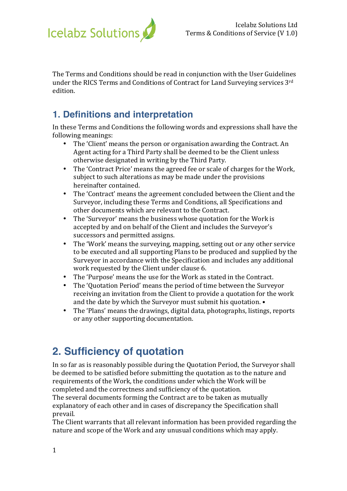

The Terms and Conditions should be read in conjunction with the User Guidelines under the RICS Terms and Conditions of Contract for Land Surveying services 3rd edition.

#### **1. Definitions and interpretation**

In these Terms and Conditions the following words and expressions shall have the following meanings:

- The 'Client' means the person or organisation awarding the Contract. An Agent acting for a Third Party shall be deemed to be the Client unless otherwise designated in writing by the Third Party.
- The 'Contract Price' means the agreed fee or scale of charges for the Work, subject to such alterations as may be made under the provisions hereinafter contained.
- The 'Contract' means the agreement concluded between the Client and the Surveyor, including these Terms and Conditions, all Specifications and other documents which are relevant to the Contract.
- The 'Surveyor' means the business whose quotation for the Work is accepted by and on behalf of the Client and includes the Surveyor's successors and permitted assigns.
- The 'Work' means the surveying, mapping, setting out or any other service to be executed and all supporting Plans to be produced and supplied by the Surveyor in accordance with the Specification and includes any additional work requested by the Client under clause 6.
- The 'Purpose' means the use for the Work as stated in the Contract.
- The 'Quotation Period' means the period of time between the Surveyor receiving an invitation from the Client to provide a quotation for the work and the date by which the Surveyor must submit his quotation.  $\bullet$
- The 'Plans' means the drawings, digital data, photographs, listings, reports or any other supporting documentation.

## **2. Sufficiency of quotation**

In so far as is reasonably possible during the Quotation Period, the Surveyor shall be deemed to be satisfied before submitting the quotation as to the nature and requirements of the Work, the conditions under which the Work will be completed and the correctness and sufficiency of the quotation.

The several documents forming the Contract are to be taken as mutually explanatory of each other and in cases of discrepancy the Specification shall prevail.

The Client warrants that all relevant information has been provided regarding the nature and scope of the Work and any unusual conditions which may apply.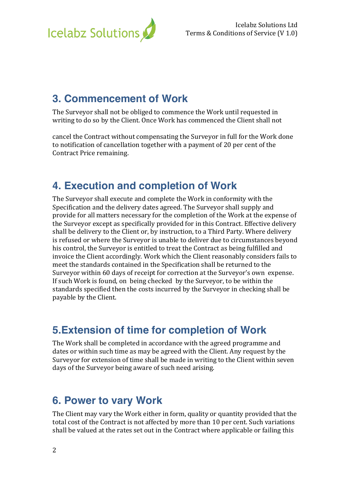

## **3. Commencement of Work**

The Surveyor shall not be obliged to commence the Work until requested in writing to do so by the Client. Once Work has commenced the Client shall not

cancel the Contract without compensating the Surveyor in full for the Work done to notification of cancellation together with a payment of 20 per cent of the Contract Price remaining.

### **4. Execution and completion of Work**

The Surveyor shall execute and complete the Work in conformity with the Specification and the delivery dates agreed. The Surveyor shall supply and provide for all matters necessary for the completion of the Work at the expense of the Surveyor except as specifically provided for in this Contract. Effective delivery shall be delivery to the Client or, by instruction, to a Third Party. Where delivery is refused or where the Surveyor is unable to deliver due to circumstances beyond his control, the Surveyor is entitled to treat the Contract as being fulfilled and invoice the Client accordingly. Work which the Client reasonably considers fails to meet the standards contained in the Specification shall be returned to the Surveyor within 60 days of receipt for correction at the Surveyor's own expense. If such Work is found, on being checked by the Surveyor, to be within the standards specified then the costs incurred by the Surveyor in checking shall be payable by the Client.

## **5.Extension of time for completion of Work**

The Work shall be completed in accordance with the agreed programme and dates or within such time as may be agreed with the Client. Any request by the Surveyor for extension of time shall be made in writing to the Client within seven days of the Surveyor being aware of such need arising.

### **6. Power to vary Work**

The Client may vary the Work either in form, quality or quantity provided that the total cost of the Contract is not affected by more than 10 per cent. Such variations shall be valued at the rates set out in the Contract where applicable or failing this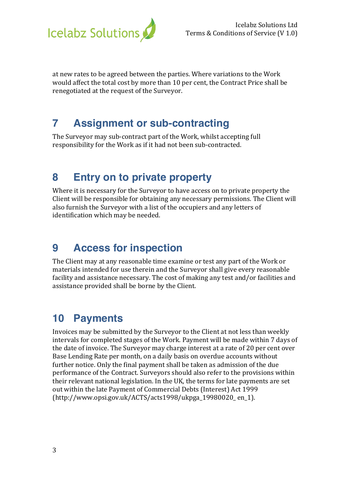

at new rates to be agreed between the parties. Where variations to the Work would affect the total cost by more than 10 per cent, the Contract Price shall be renegotiated at the request of the Surveyor.

## **7 Assignment or sub-contracting**

The Surveyor may sub-contract part of the Work, whilst accepting full responsibility for the Work as if it had not been sub-contracted.

### **8 Entry on to private property**

Where it is necessary for the Surveyor to have access on to private property the Client will be responsible for obtaining any necessary permissions. The Client will also furnish the Surveyor with a list of the occupiers and any letters of identification which may be needed.

## **9 Access for inspection**

The Client may at any reasonable time examine or test any part of the Work or materials intended for use therein and the Surveyor shall give every reasonable facility and assistance necessary. The cost of making any test and/or facilities and assistance provided shall be borne by the Client.

## **10 Payments**

Invoices may be submitted by the Surveyor to the Client at not less than weekly intervals for completed stages of the Work. Payment will be made within 7 days of the date of invoice. The Surveyor may charge interest at a rate of 20 per cent over Base Lending Rate per month, on a daily basis on overdue accounts without further notice. Only the final payment shall be taken as admission of the due performance of the Contract. Surveyors should also refer to the provisions within their relevant national legislation. In the UK, the terms for late payments are set out within the late Payment of Commercial Debts (Interest) Act 1999 (http://www.opsi.gov.uk/ACTS/acts1998/ukpga\_19980020\_en\_1).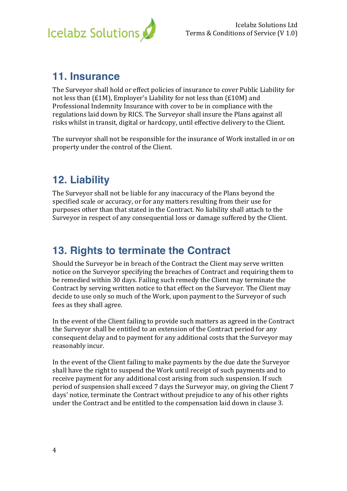

#### **11. Insurance**

The Surveyor shall hold or effect policies of insurance to cover Public Liability for not less than  $(E1M)$ , Employer's Liability for not less than  $(E10M)$  and Professional Indemnity Insurance with cover to be in compliance with the regulations laid down by RICS. The Surveyor shall insure the Plans against all risks whilst in transit, digital or hardcopy, until effective delivery to the Client.

The surveyor shall not be responsible for the insurance of Work installed in or on property under the control of the Client.

## **12. Liability**

The Surveyor shall not be liable for any inaccuracy of the Plans beyond the specified scale or accuracy, or for any matters resulting from their use for purposes other than that stated in the Contract. No liability shall attach to the Surveyor in respect of any consequential loss or damage suffered by the Client.

## **13. Rights to terminate the Contract**

Should the Surveyor be in breach of the Contract the Client may serve written notice on the Surveyor specifying the breaches of Contract and requiring them to be remedied within 30 days. Failing such remedy the Client may terminate the Contract by serving written notice to that effect on the Surveyor. The Client may decide to use only so much of the Work, upon payment to the Surveyor of such fees as they shall agree.

In the event of the Client failing to provide such matters as agreed in the Contract the Surveyor shall be entitled to an extension of the Contract period for any consequent delay and to payment for any additional costs that the Surveyor may reasonably incur.

In the event of the Client failing to make payments by the due date the Surveyor shall have the right to suspend the Work until receipt of such payments and to receive payment for any additional cost arising from such suspension. If such period of suspension shall exceed 7 days the Surveyor may, on giving the Client 7 days' notice, terminate the Contract without prejudice to any of his other rights under the Contract and be entitled to the compensation laid down in clause 3.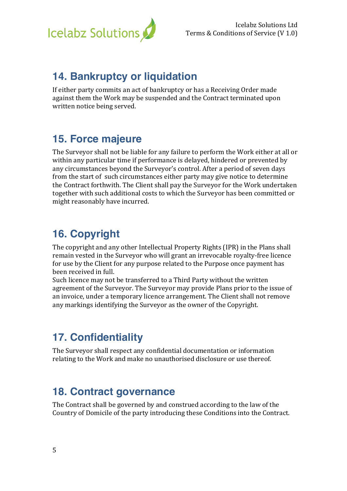

### **14. Bankruptcy or liquidation**

If either party commits an act of bankruptcy or has a Receiving Order made against them the Work may be suspended and the Contract terminated upon written notice being served.

### **15. Force majeure**

The Surveyor shall not be liable for any failure to perform the Work either at all or within any particular time if performance is delayed, hindered or prevented by any circumstances beyond the Surveyor's control. After a period of seven days from the start of such circumstances either party may give notice to determine the Contract forthwith. The Client shall pay the Surveyor for the Work undertaken together with such additional costs to which the Surveyor has been committed or might reasonably have incurred.

## **16. Copyright**

The copyright and any other Intellectual Property Rights (IPR) in the Plans shall remain vested in the Surveyor who will grant an irrevocable royalty-free licence for use by the Client for any purpose related to the Purpose once payment has been received in full.

Such licence may not be transferred to a Third Party without the written agreement of the Surveyor. The Surveyor may provide Plans prior to the issue of an invoice, under a temporary licence arrangement. The Client shall not remove any markings identifying the Surveyor as the owner of the Copyright.

# **17. Confidentiality**

The Surveyor shall respect any confidential documentation or information relating to the Work and make no unauthorised disclosure or use thereof.

### **18. Contract governance**

The Contract shall be governed by and construed according to the law of the Country of Domicile of the party introducing these Conditions into the Contract.